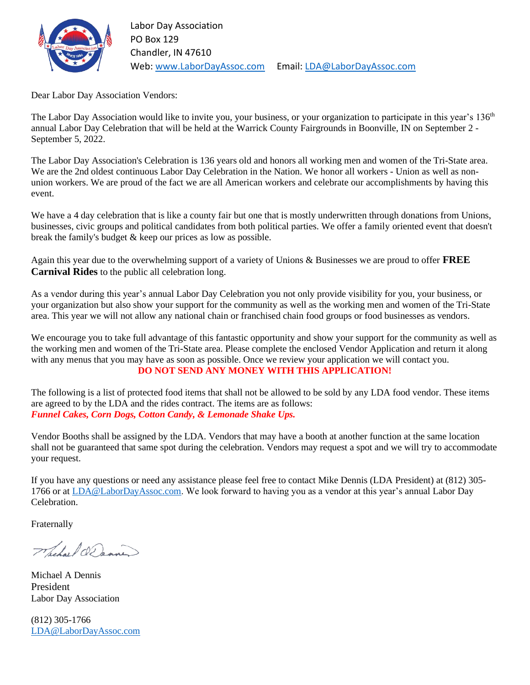

Dear Labor Day Association Vendors:

The Labor Day Association would like to invite you, your business, or your organization to participate in this year's 136<sup>th</sup> annual Labor Day Celebration that will be held at the Warrick County Fairgrounds in Boonville, IN on September 2 - September 5, 2022.

The Labor Day Association's Celebration is 136 years old and honors all working men and women of the Tri-State area. We are the 2nd oldest continuous Labor Day Celebration in the Nation. We honor all workers - Union as well as nonunion workers. We are proud of the fact we are all American workers and celebrate our accomplishments by having this event.

We have a 4 day celebration that is like a county fair but one that is mostly underwritten through donations from Unions, businesses, civic groups and political candidates from both political parties. We offer a family oriented event that doesn't break the family's budget & keep our prices as low as possible.

Again this year due to the overwhelming support of a variety of Unions & Businesses we are proud to offer **FREE Carnival Rides** to the public all celebration long.

As a vendor during this year's annual Labor Day Celebration you not only provide visibility for you, your business, or your organization but also show your support for the community as well as the working men and women of the Tri-State area. This year we will not allow any national chain or franchised chain food groups or food businesses as vendors.

We encourage you to take full advantage of this fantastic opportunity and show your support for the community as well as the working men and women of the Tri-State area. Please complete the enclosed Vendor Application and return it along with any menus that you may have as soon as possible. Once we review your application we will contact you. **DO NOT SEND ANY MONEY WITH THIS APPLICATION!**

The following is a list of protected food items that shall not be allowed to be sold by any LDA food vendor. These items are agreed to by the LDA and the rides contract. The items are as follows: *Funnel Cakes, Corn Dogs, Cotton Candy, & Lemonade Shake Ups.*

Vendor Booths shall be assigned by the LDA. Vendors that may have a booth at another function at the same location shall not be guaranteed that same spot during the celebration. Vendors may request a spot and we will try to accommodate your request.

If you have any questions or need any assistance please feel free to contact Mike Dennis (LDA President) at (812) 305- 1766 or at [LDA@LaborDayAssoc.com.](mailto:LDA@LaborDayAssoc.com) We look forward to having you as a vendor at this year's annual Labor Day Celebration.

Fraternally

Whether O. Danner

Michael A Dennis President Labor Day Association

(812) 305-1766 [LDA@LaborDayAssoc.com](mailto:LDA@LaborDayAssoc.com)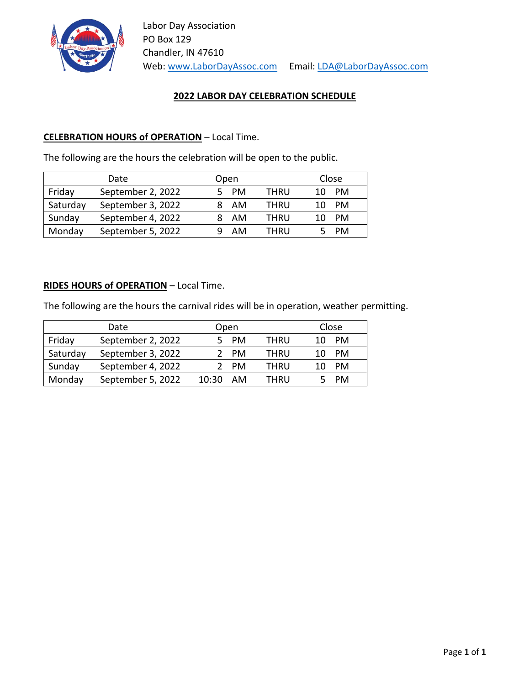

## **2022 LABOR DAY CELEBRATION SCHEDULE**

## **CELEBRATION HOURS of OPERATION** – Local Time.

The following are the hours the celebration will be open to the public.

| Date     |                   | Open |      | Close |           |
|----------|-------------------|------|------|-------|-----------|
| Friday   | September 2, 2022 | PM   | THRU |       | PM        |
| Saturday | September 3, 2022 | AM   | THRU | 10    | PM        |
| Sunday   | September 4, 2022 | AM   | THRU |       | <b>PM</b> |
| Monday   | September 5, 2022 | AM   | THRU |       | PM        |

## **RIDES HOURS of OPERATION** – Local Time.

The following are the hours the carnival rides will be in operation, weather permitting.

| Date     |                   |       | Open |      | Close |           |  |
|----------|-------------------|-------|------|------|-------|-----------|--|
| Friday   | September 2, 2022 |       | PM   | THRU |       | PM        |  |
| Saturday | September 3, 2022 |       | PM   | THRU |       | PM        |  |
| Sunday   | September 4, 2022 |       | PM   | THRU |       | PM        |  |
| Monday   | September 5, 2022 | 10:30 | AM   | THRU |       | <b>PM</b> |  |